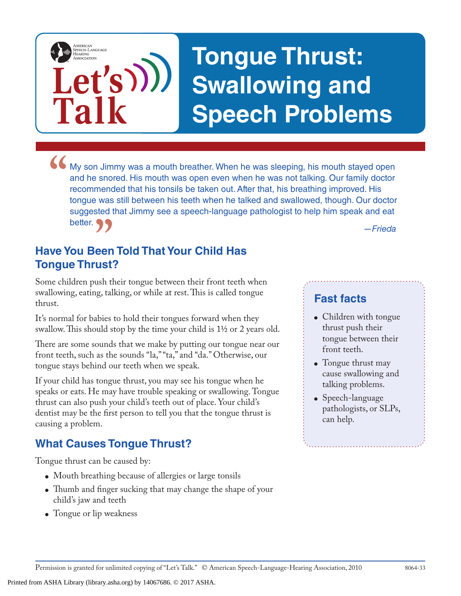## **Tongue Thrust: Swallowing and Speech Problems**

• My son Jimmy was a mouth breather. When he was sleeping, his mouth stayed open and he snored. His mouth was open even when he was not talking. Our family doctor recommended that his tonsils be taken out. After that, his and he snored. His mouth was open even when he was not talking. Our family doctor recommended that his tonsils be taken out. After that, his breathing improved. His tongue was still between his teeth when he talked and swallowed, though. Our doctor suggested that Jimmy see a speech-language pathologist to help him speak and eat better.

### *P***<br>
P** *—Frieda*<br> **een Told That Your Child Has**<br> **ust? Have You Been Told That Your Child Has Tongue Thrust?**

**Let's**

**Talk**

AMERICAN<br>SPEECH-LANGUAGE-<br>HEARING<br>ASSOCIATION

Some children push their tongue between their front teeth when swallowing, eating, talking, or while at rest. This is called tongue thrust.

It's normal for babies to hold their tongues forward when they swallow. This should stop by the time your child is 1½ or 2 years old.

There are some sounds that we make by putting our tongue near our front teeth, such as the sounds "la," "ta," and "da." Otherwise, our tongue stays behind our teeth when we speak.

If your child has tongue thrust, you may see his tongue when he speaks or eats. He may have trouble speaking or swallowing. Tongue thrust can also push your child's teeth out of place. Your child's dentist may be the first person to tell you that the tongue thrust is causing a problem.

#### **What Causes Tongue Thrust?**

Tongue thrust can be caused by:

- Mouth breathing because of allergies or large tonsils
- Thumb and finger sucking that may change the shape of your child's jaw and teeth
- Tongue or lip weakness

#### **Fast facts**

- Children with tongue thrust push their tongue between their front teeth.
- Tongue thrust may cause swallowing and talking problems.
- Speech-language pathologists, or SLPs, can help.

Printed from ASHA Library (library.asha.org) by 14067686. © 2017 ASHA.